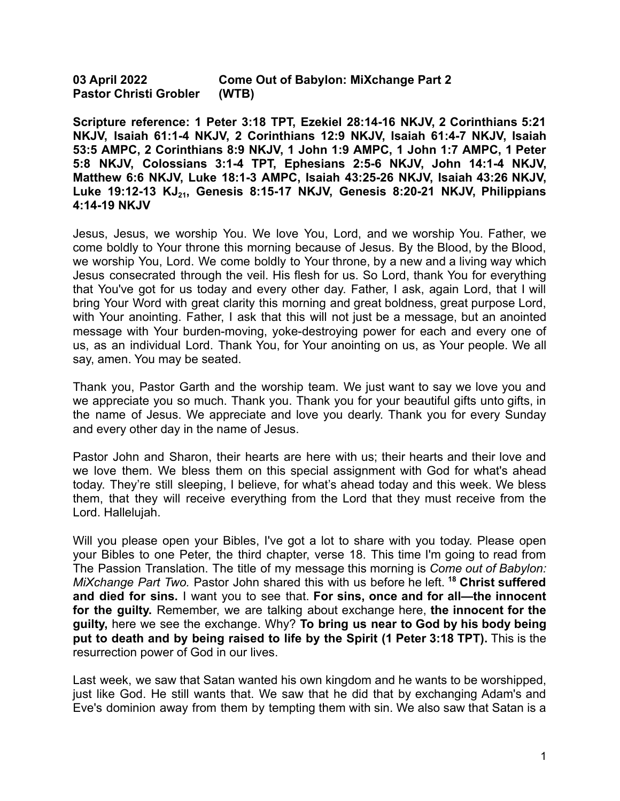**03 April 2022 Come Out of Babylon: MiXchange Part 2 Pastor Christi Grobler (WTB)**

**Scripture reference: 1 Peter 3:18 TPT, Ezekiel 28:14-16 NKJV, 2 Corinthians 5:21 NKJV, Isaiah 61:1-4 NKJV, 2 Corinthians 12:9 NKJV, Isaiah 61:4-7 NKJV, Isaiah 53:5 AMPC, 2 Corinthians 8:9 NKJV, 1 John 1:9 AMPC, 1 John 1:7 AMPC, 1 Peter 5:8 NKJV, Colossians 3:1-4 TPT, Ephesians 2:5-6 NKJV, John 14:1-4 NKJV, Matthew 6:6 NKJV, Luke 18:1-3 AMPC, Isaiah 43:25-26 NKJV, Isaiah 43:26 NKJV, Luke 19:12-13 KJ<sup>21</sup> , Genesis 8:15-17 NKJV, Genesis 8:20-21 NKJV, Philippians 4:14-19 NKJV**

Jesus, Jesus, we worship You. We love You, Lord, and we worship You. Father, we come boldly to Your throne this morning because of Jesus. By the Blood, by the Blood, we worship You, Lord. We come boldly to Your throne, by a new and a living way which Jesus consecrated through the veil. His flesh for us. So Lord, thank You for everything that You've got for us today and every other day. Father, I ask, again Lord, that I will bring Your Word with great clarity this morning and great boldness, great purpose Lord, with Your anointing. Father, I ask that this will not just be a message, but an anointed message with Your burden-moving, yoke-destroying power for each and every one of us, as an individual Lord. Thank You, for Your anointing on us, as Your people. We all say, amen. You may be seated.

Thank you, Pastor Garth and the worship team. We just want to say we love you and we appreciate you so much. Thank you. Thank you for your beautiful gifts unto gifts, in the name of Jesus. We appreciate and love you dearly. Thank you for every Sunday and every other day in the name of Jesus.

Pastor John and Sharon, their hearts are here with us; their hearts and their love and we love them. We bless them on this special assignment with God for what's ahead today. They're still sleeping, I believe, for what's ahead today and this week. We bless them, that they will receive everything from the Lord that they must receive from the Lord. Hallelujah.

Will you please open your Bibles, I've got a lot to share with you today. Please open your Bibles to one Peter, the third chapter, verse 18. This time I'm going to read from The Passion Translation. The title of my message this morning is *Come out of Babylon: MiXchange Part Two.* Pastor John shared this with us before he left. **<sup>18</sup> Christ suffered and died for sins.** I want you to see that. **For sins, once and for all—the innocent for the guilty.** Remember, we are talking about exchange here, **the innocent for the guilty,** here we see the exchange. Why? **To bring us near to God by his body being put to death and by being raised to life by the Spirit (1 Peter 3:18 TPT).** This is the resurrection power of God in our lives.

Last week, we saw that Satan wanted his own kingdom and he wants to be worshipped, just like God. He still wants that. We saw that he did that by exchanging Adam's and Eve's dominion away from them by tempting them with sin. We also saw that Satan is a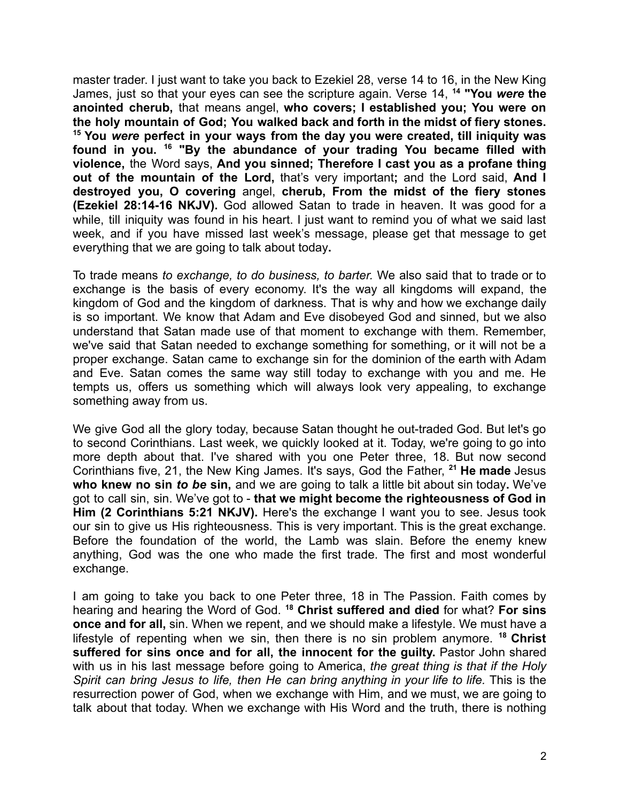master trader. I just want to take you back to Ezekiel 28, verse 14 to 16, in the New King James, just so that your eyes can see the scripture again. Verse 14, **<sup>14</sup> "You** *were* **the anointed cherub,** that means angel, **who covers; I established you; You were on the holy mountain of God; You walked back and forth in the midst of fiery stones. <sup>15</sup> You** *were* **perfect in your ways from the day you were created, till iniquity was found in you. <sup>16</sup> "By the abundance of your trading You became filled with violence,** the Word says, **And you sinned; Therefore I cast you as a profane thing out of the mountain of the Lord,** that's very important**;** and the Lord said, **And I destroyed you, O covering** angel, **cherub, From the midst of the fiery stones (Ezekiel 28:14-16 NKJV).** God allowed Satan to trade in heaven. It was good for a while, till iniquity was found in his heart. I just want to remind you of what we said last week, and if you have missed last week's message, please get that message to get everything that we are going to talk about today**.**

To trade means *to exchange, to do business, to barter.* We also said that to trade or to exchange is the basis of every economy. It's the way all kingdoms will expand, the kingdom of God and the kingdom of darkness. That is why and how we exchange daily is so important. We know that Adam and Eve disobeyed God and sinned, but we also understand that Satan made use of that moment to exchange with them. Remember, we've said that Satan needed to exchange something for something, or it will not be a proper exchange. Satan came to exchange sin for the dominion of the earth with Adam and Eve. Satan comes the same way still today to exchange with you and me. He tempts us, offers us something which will always look very appealing, to exchange something away from us.

We give God all the glory today, because Satan thought he out-traded God. But let's go to second Corinthians. Last week, we quickly looked at it. Today, we're going to go into more depth about that. I've shared with you one Peter three, 18. But now second Corinthians five, 21, the New King James. It's says, God the Father, **<sup>21</sup> He made** Jesus **who knew no sin** *to be* **sin,** and we are going to talk a little bit about sin today**.** We've got to call sin, sin. We've got to - **that we might become the righteousness of God in Him (2 Corinthians 5:21 NKJV).** Here's the exchange I want you to see. Jesus took our sin to give us His righteousness. This is very important. This is the great exchange. Before the foundation of the world, the Lamb was slain. Before the enemy knew anything, God was the one who made the first trade. The first and most wonderful exchange.

I am going to take you back to one Peter three, 18 in The Passion. Faith comes by hearing and hearing the Word of God. **<sup>18</sup> Christ suffered and died** for what? **For sins once and for all,** sin. When we repent, and we should make a lifestyle. We must have a lifestyle of repenting when we sin, then there is no sin problem anymore. **<sup>18</sup> Christ suffered for sins once and for all, the innocent for the guilty.** Pastor John shared with us in his last message before going to America, *the great thing is that if the Holy Spirit can bring Jesus to life, then He can bring anything in your life to life.* This is the resurrection power of God, when we exchange with Him, and we must, we are going to talk about that today. When we exchange with His Word and the truth, there is nothing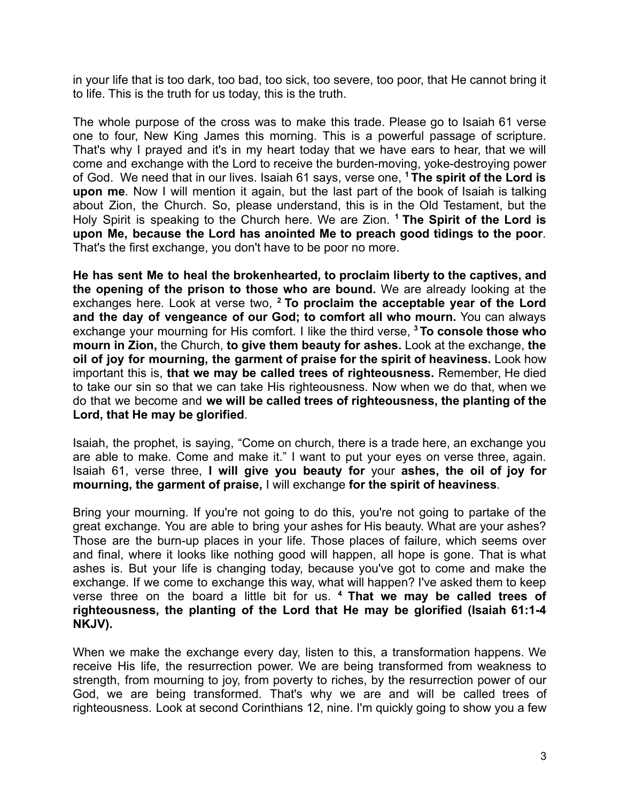in your life that is too dark, too bad, too sick, too severe, too poor, that He cannot bring it to life. This is the truth for us today, this is the truth.

The whole purpose of the cross was to make this trade. Please go to Isaiah 61 verse one to four, New King James this morning. This is a powerful passage of scripture. That's why I prayed and it's in my heart today that we have ears to hear, that we will come and exchange with the Lord to receive the burden-moving, yoke-destroying power of God. We need that in our lives. Isaiah 61 says, verse one, **<sup>1</sup> The spirit of the Lord is upon me**. Now I will mention it again, but the last part of the book of Isaiah is talking about Zion, the Church. So, please understand, this is in the Old Testament, but the Holy Spirit is speaking to the Church here. We are Zion. **<sup>1</sup> The Spirit of the Lord is upon Me, because the Lord has anointed Me to preach good tidings to the poor**. That's the first exchange, you don't have to be poor no more.

**He has sent Me to heal the brokenhearted, to proclaim liberty to the captives, and the opening of the prison to those who are bound.** We are already looking at the exchanges here. Look at verse two, **<sup>2</sup> To proclaim the acceptable year of the Lord and the day of vengeance of our God; to comfort all who mourn.** You can always exchange your mourning for His comfort. I like the third verse, **<sup>3</sup> To console those who mourn in Zion,** the Church, **to give them beauty for ashes.** Look at the exchange, **the oil of joy for mourning, the garment of praise for the spirit of heaviness.** Look how important this is, **that we may be called trees of righteousness.** Remember, He died to take our sin so that we can take His righteousness. Now when we do that, when we do that we become and **we will be called trees of righteousness, the planting of the Lord, that He may be glorified**.

Isaiah, the prophet, is saying, "Come on church, there is a trade here, an exchange you are able to make. Come and make it." I want to put your eyes on verse three, again. Isaiah 61, verse three, **I will give you beauty for** your **ashes, the oil of joy for mourning, the garment of praise,** I will exchange **for the spirit of heaviness**.

Bring your mourning. If you're not going to do this, you're not going to partake of the great exchange. You are able to bring your ashes for His beauty. What are your ashes? Those are the burn-up places in your life. Those places of failure, which seems over and final, where it looks like nothing good will happen, all hope is gone. That is what ashes is. But your life is changing today, because you've got to come and make the exchange. If we come to exchange this way, what will happen? I've asked them to keep verse three on the board a little bit for us. **<sup>4</sup> That we may be called trees of righteousness, the planting of the Lord that He may be glorified (Isaiah 61:1-4 NKJV).**

When we make the exchange every day, listen to this, a transformation happens. We receive His life, the resurrection power. We are being transformed from weakness to strength, from mourning to joy, from poverty to riches, by the resurrection power of our God, we are being transformed. That's why we are and will be called trees of righteousness. Look at second Corinthians 12, nine. I'm quickly going to show you a few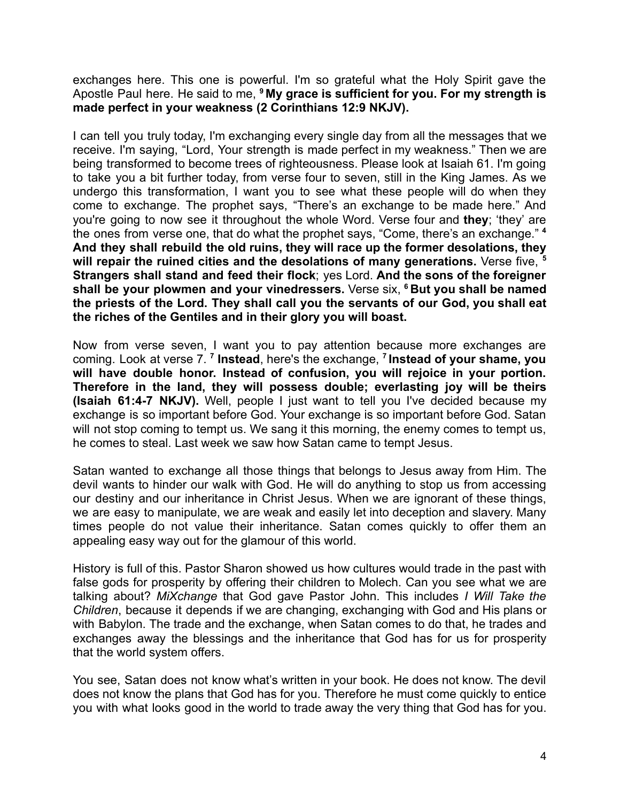exchanges here. This one is powerful. I'm so grateful what the Holy Spirit gave the Apostle Paul here. He said to me, **<sup>9</sup> My grace is sufficient for you. For my strength is made perfect in your weakness (2 Corinthians 12:9 NKJV).**

I can tell you truly today, I'm exchanging every single day from all the messages that we receive. I'm saying, "Lord, Your strength is made perfect in my weakness." Then we are being transformed to become trees of righteousness. Please look at Isaiah 61. I'm going to take you a bit further today, from verse four to seven, still in the King James. As we undergo this transformation, I want you to see what these people will do when they come to exchange. The prophet says, "There's an exchange to be made here." And you're going to now see it throughout the whole Word. Verse four and **they**; 'they' are the ones from verse one, that do what the prophet says, "Come, there's an exchange." **<sup>4</sup> And they shall rebuild the old ruins, they will race up the former desolations, they will repair the ruined cities and the desolations of many generations.** Verse five, **<sup>5</sup> Strangers shall stand and feed their flock**; yes Lord. **And the sons of the foreigner shall be your plowmen and your vinedressers.** Verse six, **<sup>6</sup> But you shall be named the priests of the Lord. They shall call you the servants of our God, you shall eat the riches of the Gentiles and in their glory you will boast.**

Now from verse seven, I want you to pay attention because more exchanges are coming. Look at verse 7. **<sup>7</sup> Instead**, here's the exchange, **<sup>7</sup> Instead of your shame, you will have double honor. Instead of confusion, you will rejoice in your portion. Therefore in the land, they will possess double; everlasting joy will be theirs (Isaiah 61:4-7 NKJV).** Well, people I just want to tell you I've decided because my exchange is so important before God. Your exchange is so important before God. Satan will not stop coming to tempt us. We sang it this morning, the enemy comes to tempt us, he comes to steal. Last week we saw how Satan came to tempt Jesus.

Satan wanted to exchange all those things that belongs to Jesus away from Him. The devil wants to hinder our walk with God. He will do anything to stop us from accessing our destiny and our inheritance in Christ Jesus. When we are ignorant of these things, we are easy to manipulate, we are weak and easily let into deception and slavery. Many times people do not value their inheritance. Satan comes quickly to offer them an appealing easy way out for the glamour of this world.

History is full of this. Pastor Sharon showed us how cultures would trade in the past with false gods for prosperity by offering their children to Molech. Can you see what we are talking about? *MiXchange* that God gave Pastor John. This includes *I Will Take the Children*, because it depends if we are changing, exchanging with God and His plans or with Babylon. The trade and the exchange, when Satan comes to do that, he trades and exchanges away the blessings and the inheritance that God has for us for prosperity that the world system offers.

You see, Satan does not know what's written in your book. He does not know. The devil does not know the plans that God has for you. Therefore he must come quickly to entice you with what looks good in the world to trade away the very thing that God has for you.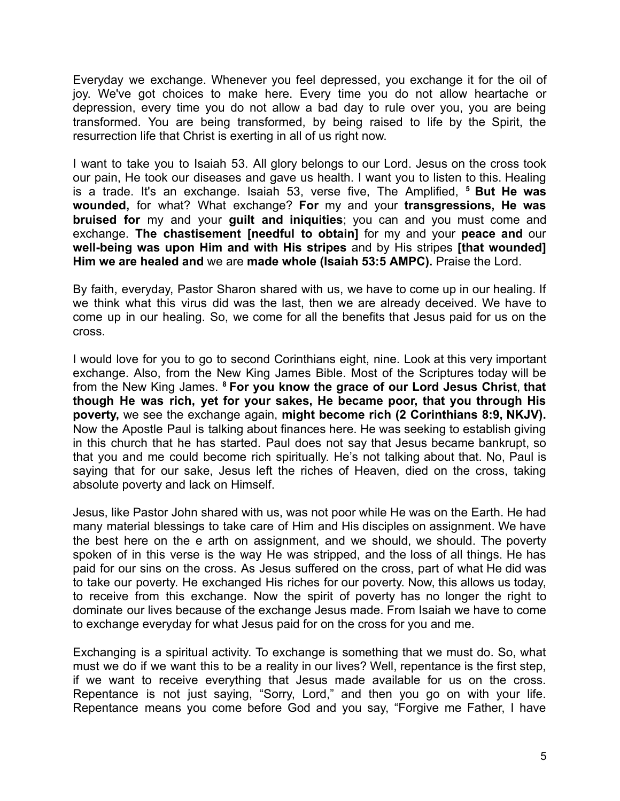Everyday we exchange. Whenever you feel depressed, you exchange it for the oil of joy. We've got choices to make here. Every time you do not allow heartache or depression, every time you do not allow a bad day to rule over you, you are being transformed. You are being transformed, by being raised to life by the Spirit, the resurrection life that Christ is exerting in all of us right now.

I want to take you to Isaiah 53. All glory belongs to our Lord. Jesus on the cross took our pain, He took our diseases and gave us health. I want you to listen to this. Healing is a trade. It's an exchange. Isaiah 53, verse five, The Amplified, **<sup>5</sup> But He was wounded,** for what? What exchange? **For** my and your **transgressions, He was bruised for** my and your **guilt and iniquities**; you can and you must come and exchange. **The chastisement [needful to obtain]** for my and your **peace and** our **well-being was upon Him and with His stripes** and by His stripes **[that wounded] Him we are healed and** we are **made whole (Isaiah 53:5 AMPC).** Praise the Lord.

By faith, everyday, Pastor Sharon shared with us, we have to come up in our healing. If we think what this virus did was the last, then we are already deceived. We have to come up in our healing. So, we come for all the benefits that Jesus paid for us on the cross.

I would love for you to go to second Corinthians eight, nine. Look at this very important exchange. Also, from the New King James Bible. Most of the Scriptures today will be from the New King James. **<sup>8</sup> For you know the grace of our Lord Jesus Christ**, **that though He was rich, yet for your sakes, He became poor, that you through His poverty,** we see the exchange again, **might become rich (2 Corinthians 8:9, NKJV).** Now the Apostle Paul is talking about finances here. He was seeking to establish giving in this church that he has started. Paul does not say that Jesus became bankrupt, so that you and me could become rich spiritually. He's not talking about that. No, Paul is saying that for our sake, Jesus left the riches of Heaven, died on the cross, taking absolute poverty and lack on Himself.

Jesus, like Pastor John shared with us, was not poor while He was on the Earth. He had many material blessings to take care of Him and His disciples on assignment. We have the best here on the e arth on assignment, and we should, we should. The poverty spoken of in this verse is the way He was stripped, and the loss of all things. He has paid for our sins on the cross. As Jesus suffered on the cross, part of what He did was to take our poverty. He exchanged His riches for our poverty. Now, this allows us today, to receive from this exchange. Now the spirit of poverty has no longer the right to dominate our lives because of the exchange Jesus made. From Isaiah we have to come to exchange everyday for what Jesus paid for on the cross for you and me.

Exchanging is a spiritual activity. To exchange is something that we must do. So, what must we do if we want this to be a reality in our lives? Well, repentance is the first step, if we want to receive everything that Jesus made available for us on the cross. Repentance is not just saying, "Sorry, Lord," and then you go on with your life. Repentance means you come before God and you say, "Forgive me Father, I have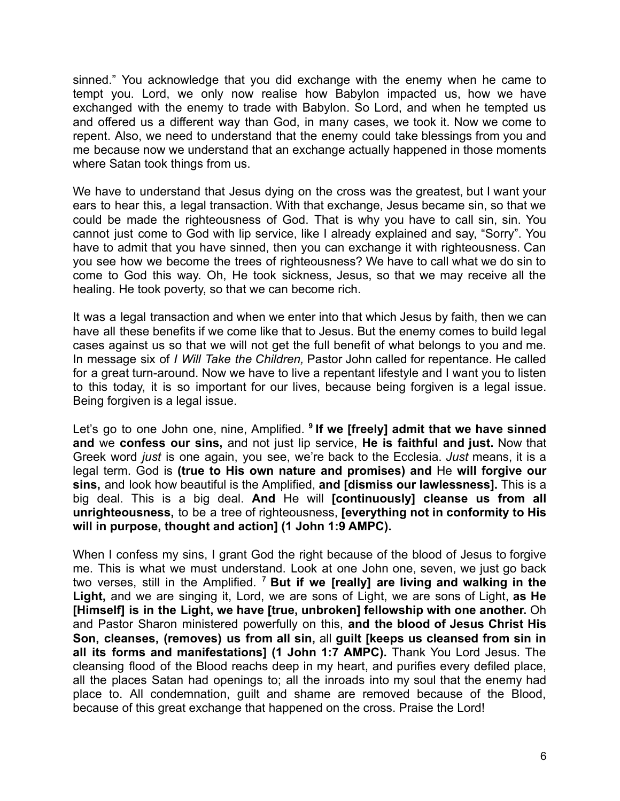sinned." You acknowledge that you did exchange with the enemy when he came to tempt you. Lord, we only now realise how Babylon impacted us, how we have exchanged with the enemy to trade with Babylon. So Lord, and when he tempted us and offered us a different way than God, in many cases, we took it. Now we come to repent. Also, we need to understand that the enemy could take blessings from you and me because now we understand that an exchange actually happened in those moments where Satan took things from us.

We have to understand that Jesus dying on the cross was the greatest, but I want your ears to hear this, a legal transaction. With that exchange, Jesus became sin, so that we could be made the righteousness of God. That is why you have to call sin, sin. You cannot just come to God with lip service, like I already explained and say, "Sorry". You have to admit that you have sinned, then you can exchange it with righteousness. Can you see how we become the trees of righteousness? We have to call what we do sin to come to God this way. Oh, He took sickness, Jesus, so that we may receive all the healing. He took poverty, so that we can become rich.

It was a legal transaction and when we enter into that which Jesus by faith, then we can have all these benefits if we come like that to Jesus. But the enemy comes to build legal cases against us so that we will not get the full benefit of what belongs to you and me. In message six of *I Will Take the Children,* Pastor John called for repentance. He called for a great turn-around. Now we have to live a repentant lifestyle and I want you to listen to this today, it is so important for our lives, because being forgiven is a legal issue. Being forgiven is a legal issue.

Let's go to one John one, nine, Amplified. **<sup>9</sup> If we [freely] admit that we have sinned and** we **confess our sins,** and not just lip service, **He is faithful and just.** Now that Greek word *just* is one again, you see, we're back to the Ecclesia. *Just* means, it is a legal term. God is **(true to His own nature and promises) and** He **will forgive our sins,** and look how beautiful is the Amplified, **and [dismiss our lawlessness].** This is a big deal. This is a big deal. **And** He will **[continuously] cleanse us from all unrighteousness,** to be a tree of righteousness, **[everything not in conformity to His will in purpose, thought and action] (1 John 1:9 AMPC).**

When I confess my sins, I grant God the right because of the blood of Jesus to forgive me. This is what we must understand. Look at one John one, seven, we just go back two verses, still in the Amplified. **<sup>7</sup> But if we [really] are living and walking in the Light,** and we are singing it, Lord, we are sons of Light, we are sons of Light, **as He [Himself] is in the Light, we have [true, unbroken] fellowship with one another.** Oh and Pastor Sharon ministered powerfully on this, **and the blood of Jesus Christ His Son, cleanses, (removes) us from all sin,** all **guilt [keeps us cleansed from sin in all its forms and manifestations] (1 John 1:7 AMPC).** Thank You Lord Jesus. The cleansing flood of the Blood reachs deep in my heart, and purifies every defiled place, all the places Satan had openings to; all the inroads into my soul that the enemy had place to. All condemnation, guilt and shame are removed because of the Blood, because of this great exchange that happened on the cross. Praise the Lord!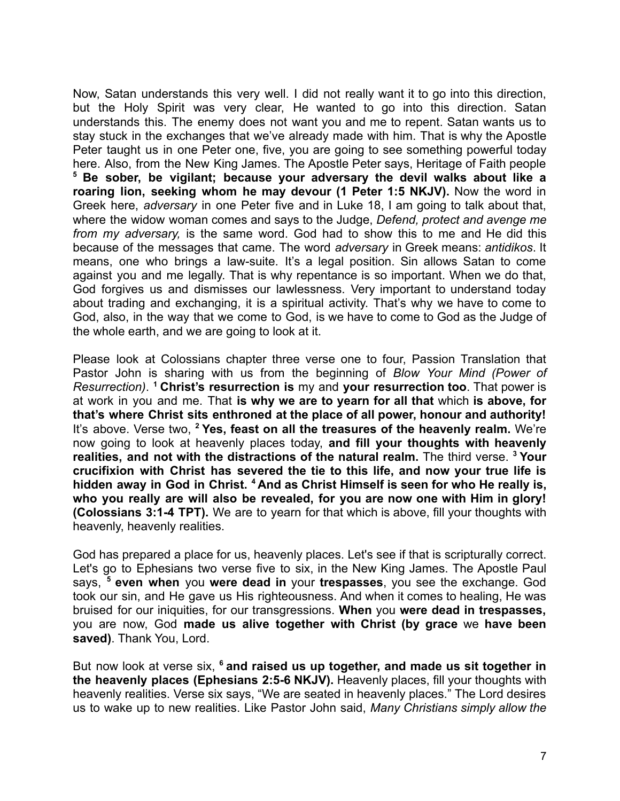Now, Satan understands this very well. I did not really want it to go into this direction, but the Holy Spirit was very clear, He wanted to go into this direction. Satan understands this. The enemy does not want you and me to repent. Satan wants us to stay stuck in the exchanges that we've already made with him. That is why the Apostle Peter taught us in one Peter one, five, you are going to see something powerful today here. Also, from the New King James. The Apostle Peter says, Heritage of Faith people **<sup>5</sup> Be sober, be vigilant; because your adversary the devil walks about like a roaring lion, seeking whom he may devour (1 Peter 1:5 NKJV).** Now the word in Greek here, *adversary* in one Peter five and in Luke 18, I am going to talk about that, where the widow woman comes and says to the Judge, *Defend, protect and avenge me from my adversary,* is the same word. God had to show this to me and He did this because of the messages that came. The word *adversary* in Greek means: *antidikos*. It means, one who brings a law-suite. It's a legal position. Sin allows Satan to come against you and me legally. That is why repentance is so important. When we do that, God forgives us and dismisses our lawlessness. Very important to understand today about trading and exchanging, it is a spiritual activity. That's why we have to come to God, also, in the way that we come to God, is we have to come to God as the Judge of the whole earth, and we are going to look at it.

Please look at Colossians chapter three verse one to four, Passion Translation that Pastor John is sharing with us from the beginning of *Blow Your Mind (Power of Resurrection)*. **<sup>1</sup> Christ's resurrection is** my and **your resurrection too**. That power is at work in you and me. That **is why we are to yearn for all that** which **is above, for that's where Christ sits enthroned at the place of all power, honour and authority!** It's above. Verse two, **<sup>2</sup> Yes, feast on all the treasures of the heavenly realm.** We're now going to look at heavenly places today, **and fill your thoughts with heavenly realities, and not with the distractions of the natural realm.** The third verse. **<sup>3</sup> Your crucifixion with Christ has severed the tie to this life, and now your true life is hidden away in God in Christ. <sup>4</sup> And as Christ Himself is seen for who He really is, who you really are will also be revealed, for you are now one with Him in glory! (Colossians 3:1-4 TPT).** We are to yearn for that which is above, fill your thoughts with heavenly, heavenly realities.

God has prepared a place for us, heavenly places. Let's see if that is scripturally correct. Let's go to Ephesians two verse five to six, in the New King James. The Apostle Paul says, **<sup>5</sup> even when** you **were dead in** your **trespasses**, you see the exchange. God took our sin, and He gave us His righteousness. And when it comes to healing, He was bruised for our iniquities, for our transgressions. **When** you **were dead in trespasses,** you are now, God **made us alive together with Christ (by grace** we **have been saved)**. Thank You, Lord.

But now look at verse six, **<sup>6</sup> and raised us up together, and made us sit together in the heavenly places (Ephesians 2:5-6 NKJV).** Heavenly places, fill your thoughts with heavenly realities. Verse six says, "We are seated in heavenly places." The Lord desires us to wake up to new realities. Like Pastor John said, *Many Christians simply allow the*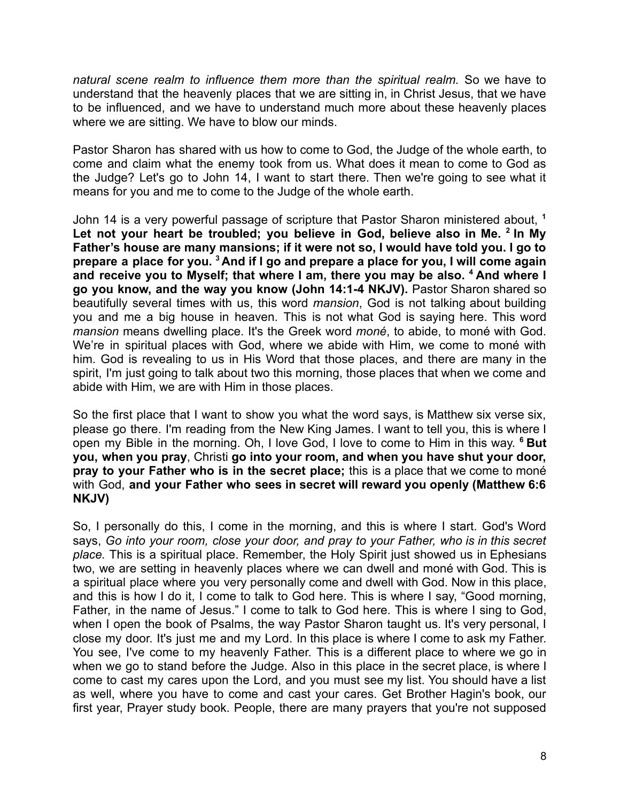*natural scene realm to influence them more than the spiritual realm.* So we have to understand that the heavenly places that we are sitting in, in Christ Jesus, that we have to be influenced, and we have to understand much more about these heavenly places where we are sitting. We have to blow our minds.

Pastor Sharon has shared with us how to come to God, the Judge of the whole earth, to come and claim what the enemy took from us. What does it mean to come to God as the Judge? Let's go to John 14, I want to start there. Then we're going to see what it means for you and me to come to the Judge of the whole earth.

John 14 is a very powerful passage of scripture that Pastor Sharon ministered about, **<sup>1</sup> Let not your heart be troubled; you believe in God, believe also in Me. <sup>2</sup> In My Father's house are many mansions; if it were not so, I would have told you. I go to** prepare a place for you. <sup>3</sup> And if I go and prepare a place for you, I will come again **and receive you to Myself; that where I am, there you may be also. <sup>4</sup> And where I go you know, and the way you know (John 14:1-4 NKJV).** Pastor Sharon shared so beautifully several times with us, this word *mansion*, God is not talking about building you and me a big house in heaven. This is not what God is saying here. This word *mansion* means dwelling place. It's the Greek word *moné*, to abide, to moné with God. We're in spiritual places with God, where we abide with Him, we come to moné with him. God is revealing to us in His Word that those places, and there are many in the spirit, I'm just going to talk about two this morning, those places that when we come and abide with Him, we are with Him in those places.

So the first place that I want to show you what the word says, is Matthew six verse six, please go there. I'm reading from the New King James. I want to tell you, this is where I open my Bible in the morning. Oh, I love God, I love to come to Him in this way. **<sup>6</sup> But you, when you pray**, Christi **go into your room, and when you have shut your door, pray to your Father who is in the secret place;** this is a place that we come to moné with God, **and your Father who sees in secret will reward you openly (Matthew 6:6 NKJV)**

So, I personally do this, I come in the morning, and this is where I start. God's Word says, *Go into your room, close your door, and pray to your Father, who is in this secret place.* This is a spiritual place. Remember, the Holy Spirit just showed us in Ephesians two, we are setting in heavenly places where we can dwell and moné with God. This is a spiritual place where you very personally come and dwell with God. Now in this place, and this is how I do it, I come to talk to God here. This is where I say, "Good morning, Father, in the name of Jesus." I come to talk to God here. This is where I sing to God, when I open the book of Psalms, the way Pastor Sharon taught us. It's very personal, I close my door. It's just me and my Lord. In this place is where I come to ask my Father. You see, I've come to my heavenly Father. This is a different place to where we go in when we go to stand before the Judge. Also in this place in the secret place, is where I come to cast my cares upon the Lord, and you must see my list. You should have a list as well, where you have to come and cast your cares. Get Brother Hagin's book, our first year, Prayer study book. People, there are many prayers that you're not supposed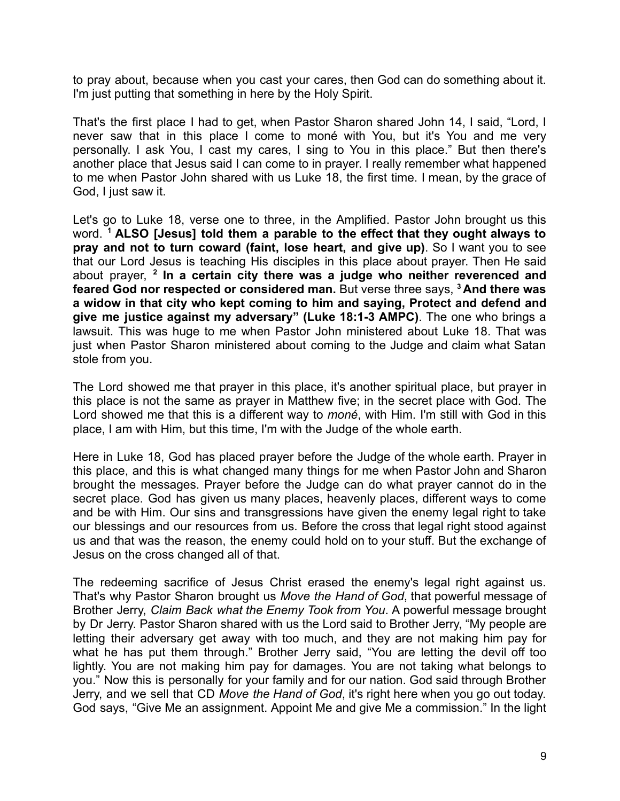to pray about, because when you cast your cares, then God can do something about it. I'm just putting that something in here by the Holy Spirit.

That's the first place I had to get, when Pastor Sharon shared John 14, I said, "Lord, I never saw that in this place I come to moné with You, but it's You and me very personally. I ask You, I cast my cares, I sing to You in this place." But then there's another place that Jesus said I can come to in prayer. I really remember what happened to me when Pastor John shared with us Luke 18, the first time. I mean, by the grace of God, I just saw it.

Let's go to Luke 18, verse one to three, in the Amplified. Pastor John brought us this word. **<sup>1</sup> ALSO [Jesus] told them a parable to the effect that they ought always to pray and not to turn coward (faint, lose heart, and give up)**. So I want you to see that our Lord Jesus is teaching His disciples in this place about prayer. Then He said about prayer, **2 In a certain city there was a judge who neither reverenced and feared God nor respected or considered man.** But verse three says, **<sup>3</sup> And there was a widow in that city who kept coming to him and saying, Protect and defend and give me justice against my adversary" (Luke 18:1-3 AMPC)**. The one who brings a lawsuit. This was huge to me when Pastor John ministered about Luke 18. That was just when Pastor Sharon ministered about coming to the Judge and claim what Satan stole from you.

The Lord showed me that prayer in this place, it's another spiritual place, but prayer in this place is not the same as prayer in Matthew five; in the secret place with God. The Lord showed me that this is a different way to *moné*, with Him. I'm still with God in this place, I am with Him, but this time, I'm with the Judge of the whole earth.

Here in Luke 18, God has placed prayer before the Judge of the whole earth. Prayer in this place, and this is what changed many things for me when Pastor John and Sharon brought the messages. Prayer before the Judge can do what prayer cannot do in the secret place. God has given us many places, heavenly places, different ways to come and be with Him. Our sins and transgressions have given the enemy legal right to take our blessings and our resources from us. Before the cross that legal right stood against us and that was the reason, the enemy could hold on to your stuff. But the exchange of Jesus on the cross changed all of that.

The redeeming sacrifice of Jesus Christ erased the enemy's legal right against us. That's why Pastor Sharon brought us *Move the Hand of God*, that powerful message of Brother Jerry, *Claim Back what the Enemy Took from You*. A powerful message brought by Dr Jerry. Pastor Sharon shared with us the Lord said to Brother Jerry, "My people are letting their adversary get away with too much, and they are not making him pay for what he has put them through." Brother Jerry said, "You are letting the devil off too lightly. You are not making him pay for damages. You are not taking what belongs to you." Now this is personally for your family and for our nation. God said through Brother Jerry, and we sell that CD *Move the Hand of God*, it's right here when you go out today. God says, "Give Me an assignment. Appoint Me and give Me a commission." In the light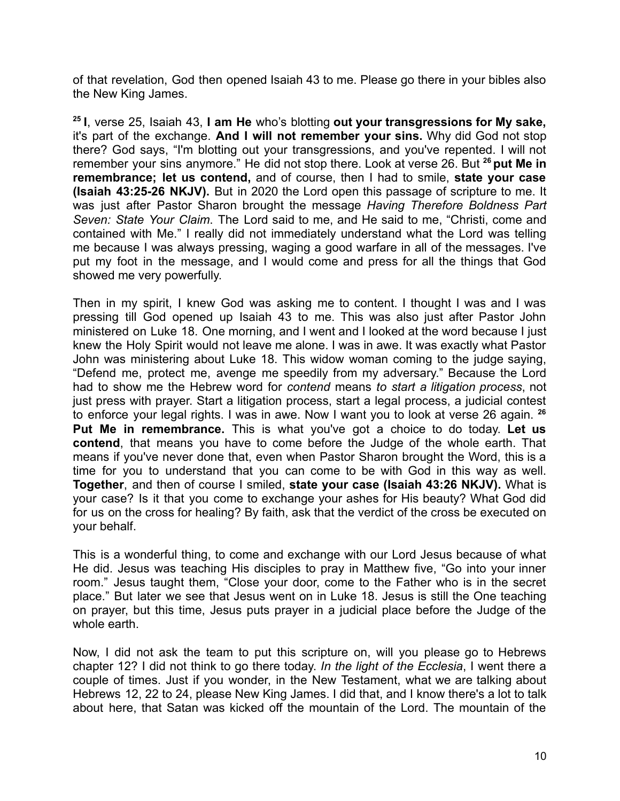of that revelation, God then opened Isaiah 43 to me. Please go there in your bibles also the New King James.

**25 I**, verse 25, Isaiah 43, **I am He** who's blotting **out your transgressions for My sake,** it's part of the exchange. **And I will not remember your sins.** Why did God not stop there? God says, "I'm blotting out your transgressions, and you've repented. I will not remember your sins anymore." He did not stop there. Look at verse 26. But **<sup>26</sup> put Me in remembrance; let us contend,** and of course, then I had to smile, **state your case (Isaiah 43:25-26 NKJV).** But in 2020 the Lord open this passage of scripture to me. It was just after Pastor Sharon brought the message *Having Therefore Boldness Part Seven: State Your Claim*. The Lord said to me, and He said to me, "Christi, come and contained with Me." I really did not immediately understand what the Lord was telling me because I was always pressing, waging a good warfare in all of the messages. I've put my foot in the message, and I would come and press for all the things that God showed me very powerfully.

Then in my spirit, I knew God was asking me to content. I thought I was and I was pressing till God opened up Isaiah 43 to me. This was also just after Pastor John ministered on Luke 18. One morning, and I went and I looked at the word because I just knew the Holy Spirit would not leave me alone. I was in awe. It was exactly what Pastor John was ministering about Luke 18. This widow woman coming to the judge saying, "Defend me, protect me, avenge me speedily from my adversary." Because the Lord had to show me the Hebrew word for *contend* means *to start a litigation process*, not just press with prayer. Start a litigation process, start a legal process, a judicial contest to enforce your legal rights. I was in awe. Now I want you to look at verse 26 again. **<sup>26</sup> Put Me in remembrance.** This is what you've got a choice to do today. **Let us contend**, that means you have to come before the Judge of the whole earth. That means if you've never done that, even when Pastor Sharon brought the Word, this is a time for you to understand that you can come to be with God in this way as well. **Together**, and then of course I smiled, **state your case (Isaiah 43:26 NKJV).** What is your case? Is it that you come to exchange your ashes for His beauty? What God did for us on the cross for healing? By faith, ask that the verdict of the cross be executed on your behalf.

This is a wonderful thing, to come and exchange with our Lord Jesus because of what He did. Jesus was teaching His disciples to pray in Matthew five, "Go into your inner room." Jesus taught them, "Close your door, come to the Father who is in the secret place." But later we see that Jesus went on in Luke 18. Jesus is still the One teaching on prayer, but this time, Jesus puts prayer in a judicial place before the Judge of the whole earth.

Now, I did not ask the team to put this scripture on, will you please go to Hebrews chapter 12? I did not think to go there today. *In the light of the Ecclesia*, I went there a couple of times. Just if you wonder, in the New Testament, what we are talking about Hebrews 12, 22 to 24, please New King James. I did that, and I know there's a lot to talk about here, that Satan was kicked off the mountain of the Lord. The mountain of the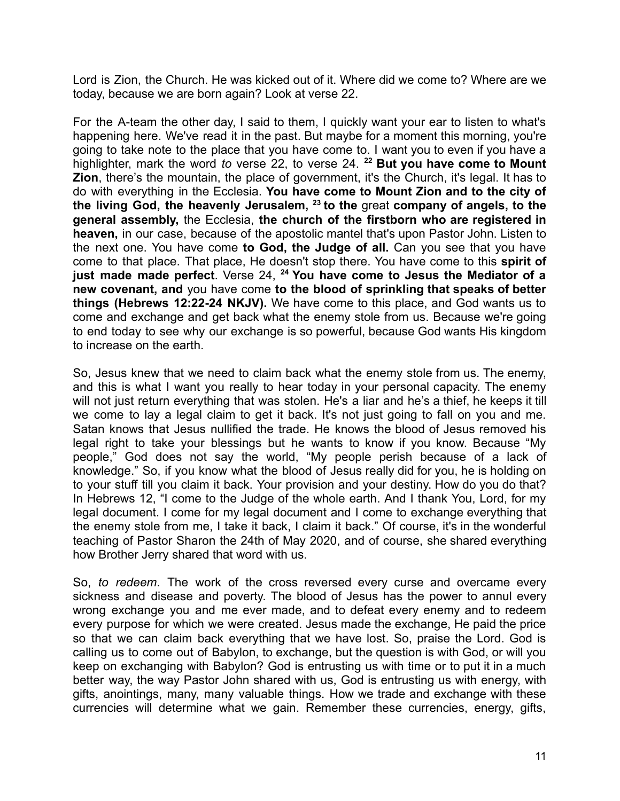Lord is Zion, the Church. He was kicked out of it. Where did we come to? Where are we today, because we are born again? Look at verse 22.

For the A-team the other day, I said to them, I quickly want your ear to listen to what's happening here. We've read it in the past. But maybe for a moment this morning, you're going to take note to the place that you have come to. I want you to even if you have a highlighter, mark the word *to* verse 22, to verse 24. **<sup>22</sup> But you have come to Mount Zion**, there's the mountain, the place of government, it's the Church, it's legal. It has to do with everything in the Ecclesia. **You have come to Mount Zion and to the city of the living God, the heavenly Jerusalem, <sup>23</sup> to the** great **company of angels, to the general assembly,** the Ecclesia, **the church of the firstborn who are registered in heaven,** in our case, because of the apostolic mantel that's upon Pastor John. Listen to the next one. You have come **to God, the Judge of all.** Can you see that you have come to that place. That place, He doesn't stop there. You have come to this **spirit of just made made perfect**. Verse 24, **<sup>24</sup> You have come to Jesus the Mediator of a new covenant, and** you have come **to the blood of sprinkling that speaks of better things (Hebrews 12:22-24 NKJV).** We have come to this place, and God wants us to come and exchange and get back what the enemy stole from us. Because we're going to end today to see why our exchange is so powerful, because God wants His kingdom to increase on the earth.

So, Jesus knew that we need to claim back what the enemy stole from us. The enemy, and this is what I want you really to hear today in your personal capacity. The enemy will not just return everything that was stolen. He's a liar and he's a thief, he keeps it till we come to lay a legal claim to get it back. It's not just going to fall on you and me. Satan knows that Jesus nullified the trade. He knows the blood of Jesus removed his legal right to take your blessings but he wants to know if you know. Because "My people," God does not say the world, "My people perish because of a lack of knowledge." So, if you know what the blood of Jesus really did for you, he is holding on to your stuff till you claim it back. Your provision and your destiny. How do you do that? In Hebrews 12, "I come to the Judge of the whole earth. And I thank You, Lord, for my legal document. I come for my legal document and I come to exchange everything that the enemy stole from me, I take it back, I claim it back." Of course, it's in the wonderful teaching of Pastor Sharon the 24th of May 2020, and of course, she shared everything how Brother Jerry shared that word with us.

So, *to redeem*. The work of the cross reversed every curse and overcame every sickness and disease and poverty. The blood of Jesus has the power to annul every wrong exchange you and me ever made, and to defeat every enemy and to redeem every purpose for which we were created. Jesus made the exchange, He paid the price so that we can claim back everything that we have lost. So, praise the Lord. God is calling us to come out of Babylon, to exchange, but the question is with God, or will you keep on exchanging with Babylon? God is entrusting us with time or to put it in a much better way, the way Pastor John shared with us, God is entrusting us with energy, with gifts, anointings, many, many valuable things. How we trade and exchange with these currencies will determine what we gain. Remember these currencies, energy, gifts,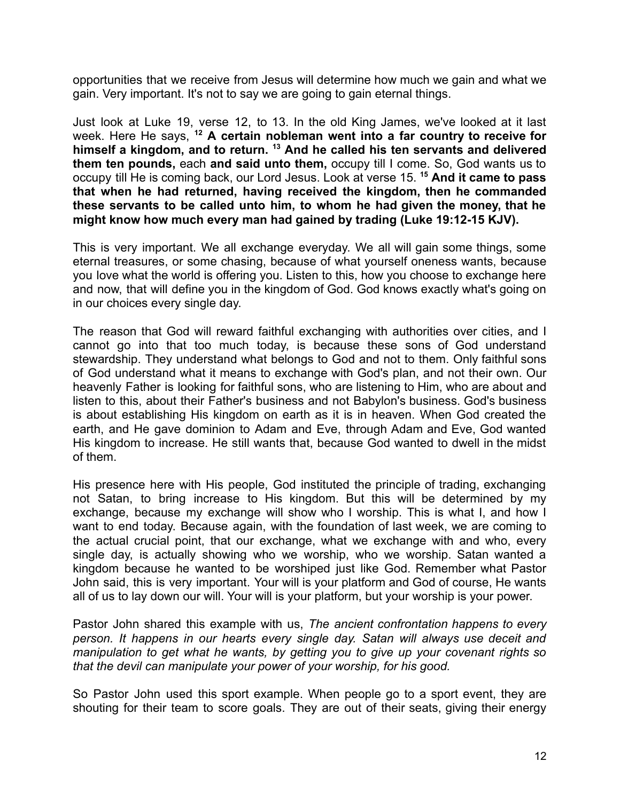opportunities that we receive from Jesus will determine how much we gain and what we gain. Very important. It's not to say we are going to gain eternal things.

Just look at Luke 19, verse 12, to 13. In the old King James, we've looked at it last week. Here He says, **<sup>12</sup> A certain nobleman went into a far country to receive for himself a kingdom, and to return. <sup>13</sup> And he called his ten servants and delivered them ten pounds,** each **and said unto them,** occupy till I come. So, God wants us to occupy till He is coming back, our Lord Jesus. Look at verse 15. **<sup>15</sup> And it came to pass that when he had returned, having received the kingdom, then he commanded these servants to be called unto him, to whom he had given the money, that he might know how much every man had gained by trading (Luke 19:12-15 KJV).**

This is very important. We all exchange everyday. We all will gain some things, some eternal treasures, or some chasing, because of what yourself oneness wants, because you love what the world is offering you. Listen to this, how you choose to exchange here and now, that will define you in the kingdom of God. God knows exactly what's going on in our choices every single day.

The reason that God will reward faithful exchanging with authorities over cities, and I cannot go into that too much today, is because these sons of God understand stewardship. They understand what belongs to God and not to them. Only faithful sons of God understand what it means to exchange with God's plan, and not their own. Our heavenly Father is looking for faithful sons, who are listening to Him, who are about and listen to this, about their Father's business and not Babylon's business. God's business is about establishing His kingdom on earth as it is in heaven. When God created the earth, and He gave dominion to Adam and Eve, through Adam and Eve, God wanted His kingdom to increase. He still wants that, because God wanted to dwell in the midst of them.

His presence here with His people, God instituted the principle of trading, exchanging not Satan, to bring increase to His kingdom. But this will be determined by my exchange, because my exchange will show who I worship. This is what I, and how I want to end today. Because again, with the foundation of last week, we are coming to the actual crucial point, that our exchange, what we exchange with and who, every single day, is actually showing who we worship, who we worship. Satan wanted a kingdom because he wanted to be worshiped just like God. Remember what Pastor John said, this is very important. Your will is your platform and God of course, He wants all of us to lay down our will. Your will is your platform, but your worship is your power.

Pastor John shared this example with us, *The ancient confrontation happens to every person. It happens in our hearts every single day. Satan will always use deceit and manipulation to get what he wants, by getting you to give up your covenant rights so that the devil can manipulate your power of your worship, for his good.*

So Pastor John used this sport example. When people go to a sport event, they are shouting for their team to score goals. They are out of their seats, giving their energy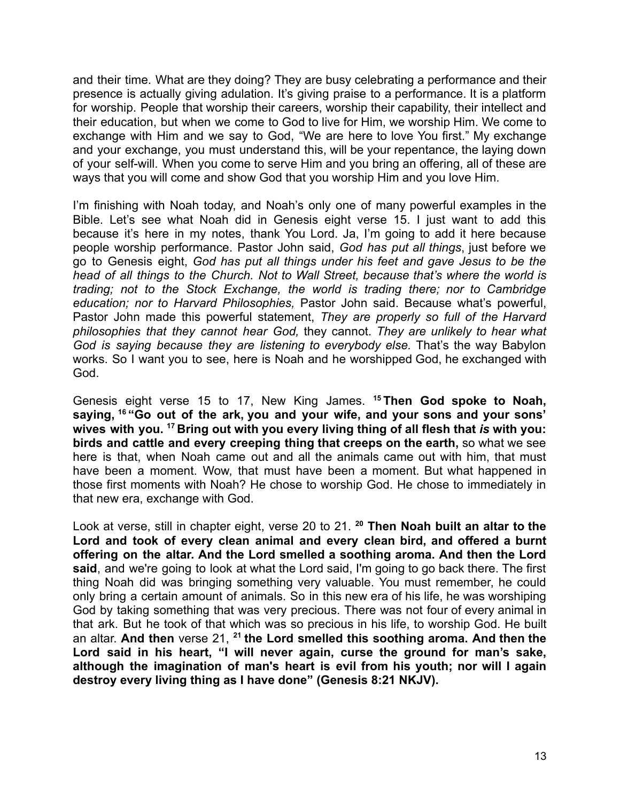and their time. What are they doing? They are busy celebrating a performance and their presence is actually giving adulation. It's giving praise to a performance. It is a platform for worship. People that worship their careers, worship their capability, their intellect and their education, but when we come to God to live for Him, we worship Him. We come to exchange with Him and we say to God, "We are here to love You first." My exchange and your exchange, you must understand this, will be your repentance, the laying down of your self-will. When you come to serve Him and you bring an offering, all of these are ways that you will come and show God that you worship Him and you love Him.

I'm finishing with Noah today, and Noah's only one of many powerful examples in the Bible. Let's see what Noah did in Genesis eight verse 15. I just want to add this because it's here in my notes, thank You Lord. Ja, I'm going to add it here because people worship performance. Pastor John said, *God has put all things*, just before we go to Genesis eight, *God has put all things under his feet and gave Jesus to be the head of all things to the Church. Not to Wall Street, because that's where the world is trading; not to the Stock Exchange, the world is trading there; nor to Cambridge education; nor to Harvard Philosophies,* Pastor John said. Because what's powerful, Pastor John made this powerful statement, *They are properly so full of the Harvard philosophies that they cannot hear God,* they cannot. *They are unlikely to hear what God is saying because they are listening to everybody else.* That's the way Babylon works. So I want you to see, here is Noah and he worshipped God, he exchanged with God.

Genesis eight verse 15 to 17, New King James. **<sup>15</sup> Then God spoke to Noah, saying, <sup>16</sup> "Go out of the ark, you and your wife, and your sons and your sons' wives with you. <sup>17</sup> Bring out with you every living thing of all flesh that** *is* **with you: birds and cattle and every creeping thing that creeps on the earth,** so what we see here is that, when Noah came out and all the animals came out with him, that must have been a moment. Wow, that must have been a moment. But what happened in those first moments with Noah? He chose to worship God. He chose to immediately in that new era, exchange with God.

Look at verse, still in chapter eight, verse 20 to 21. **<sup>20</sup> Then Noah built an altar to the Lord and took of every clean animal and every clean bird, and offered a burnt offering on the altar. And the Lord smelled a soothing aroma. And then the Lord said**, and we're going to look at what the Lord said, I'm going to go back there. The first thing Noah did was bringing something very valuable. You must remember, he could only bring a certain amount of animals. So in this new era of his life, he was worshiping God by taking something that was very precious. There was not four of every animal in that ark. But he took of that which was so precious in his life, to worship God. He built an altar. **And then** verse 21, **<sup>21</sup> the Lord smelled this soothing aroma. And then the Lord said in his heart, "I will never again, curse the ground for man's sake, although the imagination of man's heart is evil from his youth; nor will I again destroy every living thing as I have done" (Genesis 8:21 NKJV).**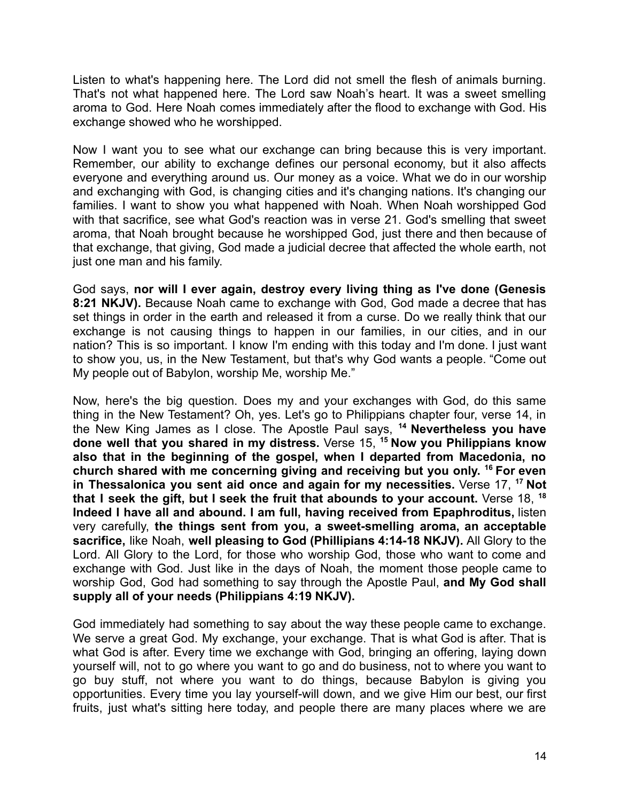Listen to what's happening here. The Lord did not smell the flesh of animals burning. That's not what happened here. The Lord saw Noah's heart. It was a sweet smelling aroma to God. Here Noah comes immediately after the flood to exchange with God. His exchange showed who he worshipped.

Now I want you to see what our exchange can bring because this is very important. Remember, our ability to exchange defines our personal economy, but it also affects everyone and everything around us. Our money as a voice. What we do in our worship and exchanging with God, is changing cities and it's changing nations. It's changing our families. I want to show you what happened with Noah. When Noah worshipped God with that sacrifice, see what God's reaction was in verse 21. God's smelling that sweet aroma, that Noah brought because he worshipped God, just there and then because of that exchange, that giving, God made a judicial decree that affected the whole earth, not just one man and his family.

God says, **nor will I ever again, destroy every living thing as I've done (Genesis 8:21 NKJV).** Because Noah came to exchange with God, God made a decree that has set things in order in the earth and released it from a curse. Do we really think that our exchange is not causing things to happen in our families, in our cities, and in our nation? This is so important. I know I'm ending with this today and I'm done. I just want to show you, us, in the New Testament, but that's why God wants a people. "Come out My people out of Babylon, worship Me, worship Me."

Now, here's the big question. Does my and your exchanges with God, do this same thing in the New Testament? Oh, yes. Let's go to Philippians chapter four, verse 14, in the New King James as I close. The Apostle Paul says, **<sup>14</sup> Nevertheless you have done well that you shared in my distress.** Verse 15, **<sup>15</sup> Now you Philippians know also that in the beginning of the gospel, when I departed from Macedonia, no church shared with me concerning giving and receiving but you only. <sup>16</sup> For even in Thessalonica you sent aid once and again for my necessities.** Verse 17, **<sup>17</sup> Not that I seek the gift, but I seek the fruit that abounds to your account.** Verse 18, **<sup>18</sup> Indeed I have all and abound. I am full, having received from Epaphroditus,** listen very carefully, **the things sent from you, a sweet-smelling aroma, an acceptable sacrifice,** like Noah, **well pleasing to God (Phillipians 4:14-18 NKJV).** All Glory to the Lord. All Glory to the Lord, for those who worship God, those who want to come and exchange with God. Just like in the days of Noah, the moment those people came to worship God, God had something to say through the Apostle Paul, **and My God shall supply all of your needs (Philippians 4:19 NKJV).**

God immediately had something to say about the way these people came to exchange. We serve a great God. My exchange, your exchange. That is what God is after. That is what God is after. Every time we exchange with God, bringing an offering, laying down yourself will, not to go where you want to go and do business, not to where you want to go buy stuff, not where you want to do things, because Babylon is giving you opportunities. Every time you lay yourself-will down, and we give Him our best, our first fruits, just what's sitting here today, and people there are many places where we are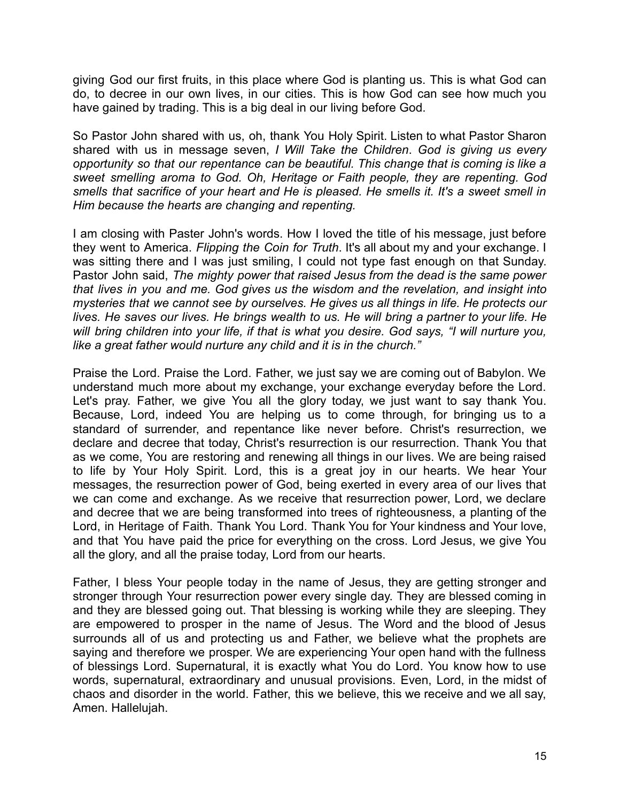giving God our first fruits, in this place where God is planting us. This is what God can do, to decree in our own lives, in our cities. This is how God can see how much you have gained by trading. This is a big deal in our living before God.

So Pastor John shared with us, oh, thank You Holy Spirit. Listen to what Pastor Sharon shared with us in message seven, *I Will Take the Children*. *God is giving us every opportunity so that our repentance can be beautiful. This change that is coming is like a sweet smelling aroma to God. Oh, Heritage or Faith people, they are repenting. God smells that sacrifice of your heart and He is pleased. He smells it. It's a sweet smell in Him because the hearts are changing and repenting.*

I am closing with Paster John's words. How I loved the title of his message, just before they went to America. *Flipping the Coin for Truth*. It's all about my and your exchange. I was sitting there and I was just smiling, I could not type fast enough on that Sunday. Pastor John said, *The mighty power that raised Jesus from the dead is the same power that lives in you and me. God gives us the wisdom and the revelation, and insight into mysteries that we cannot see by ourselves. He gives us all things in life. He protects our lives. He saves our lives. He brings wealth to us. He will bring a partner to your life. He will bring children into your life, if that is what you desire. God says, "I will nurture you, like a great father would nurture any child and it is in the church."*

Praise the Lord. Praise the Lord. Father, we just say we are coming out of Babylon. We understand much more about my exchange, your exchange everyday before the Lord. Let's pray. Father, we give You all the glory today, we just want to say thank You. Because, Lord, indeed You are helping us to come through, for bringing us to a standard of surrender, and repentance like never before. Christ's resurrection, we declare and decree that today, Christ's resurrection is our resurrection. Thank You that as we come, You are restoring and renewing all things in our lives. We are being raised to life by Your Holy Spirit. Lord, this is a great joy in our hearts. We hear Your messages, the resurrection power of God, being exerted in every area of our lives that we can come and exchange. As we receive that resurrection power, Lord, we declare and decree that we are being transformed into trees of righteousness, a planting of the Lord, in Heritage of Faith. Thank You Lord. Thank You for Your kindness and Your love, and that You have paid the price for everything on the cross. Lord Jesus, we give You all the glory, and all the praise today, Lord from our hearts.

Father, I bless Your people today in the name of Jesus, they are getting stronger and stronger through Your resurrection power every single day. They are blessed coming in and they are blessed going out. That blessing is working while they are sleeping. They are empowered to prosper in the name of Jesus. The Word and the blood of Jesus surrounds all of us and protecting us and Father, we believe what the prophets are saying and therefore we prosper. We are experiencing Your open hand with the fullness of blessings Lord. Supernatural, it is exactly what You do Lord. You know how to use words, supernatural, extraordinary and unusual provisions. Even, Lord, in the midst of chaos and disorder in the world. Father, this we believe, this we receive and we all say, Amen. Hallelujah.